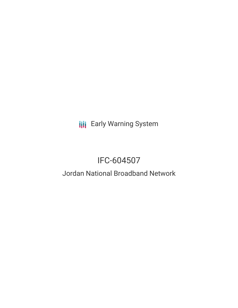**III** Early Warning System

# IFC-604507

## Jordan National Broadband Network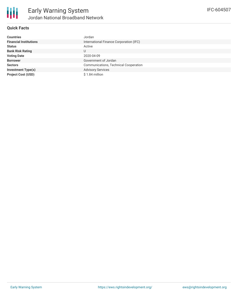

#### **Quick Facts**

| <b>Countries</b>              | Jordan                                       |
|-------------------------------|----------------------------------------------|
| <b>Financial Institutions</b> | International Finance Corporation (IFC)      |
| <b>Status</b>                 | Active                                       |
| <b>Bank Risk Rating</b>       | U                                            |
| <b>Voting Date</b>            | 2020-04-09                                   |
| <b>Borrower</b>               | Government of Jordan                         |
| <b>Sectors</b>                | <b>Communications, Technical Cooperation</b> |
| <b>Investment Type(s)</b>     | <b>Advisory Services</b>                     |
| <b>Project Cost (USD)</b>     | \$1.84 million                               |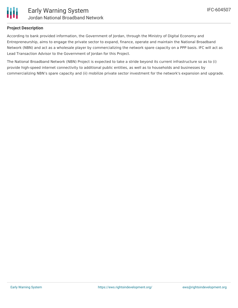

### **Project Description**

According to bank provided information, the Government of Jordan, through the Ministry of Digital Economy and Entrepreneurship, aims to engage the private sector to expand, finance, operate and maintain the National Broadband Network (NBN) and act as a wholesale player by commercializing the network spare capacity on a PPP basis. IFC will act as Lead Transaction Advisor to the Government of Jordan for this Project.

The National Broadband Network (NBN) Project is expected to take a stride beyond its current infrastructure so as to (i) provide high-speed internet connectivity to additional public entities, as well as to households and businesses by commercializing NBN's spare capacity and (ii) mobilize private sector investment for the network's expansion and upgrade.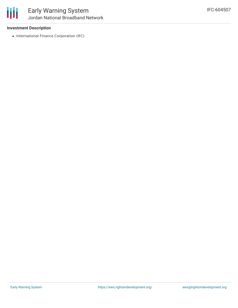

#### **Investment Description**

• International Finance Corporation (IFC)